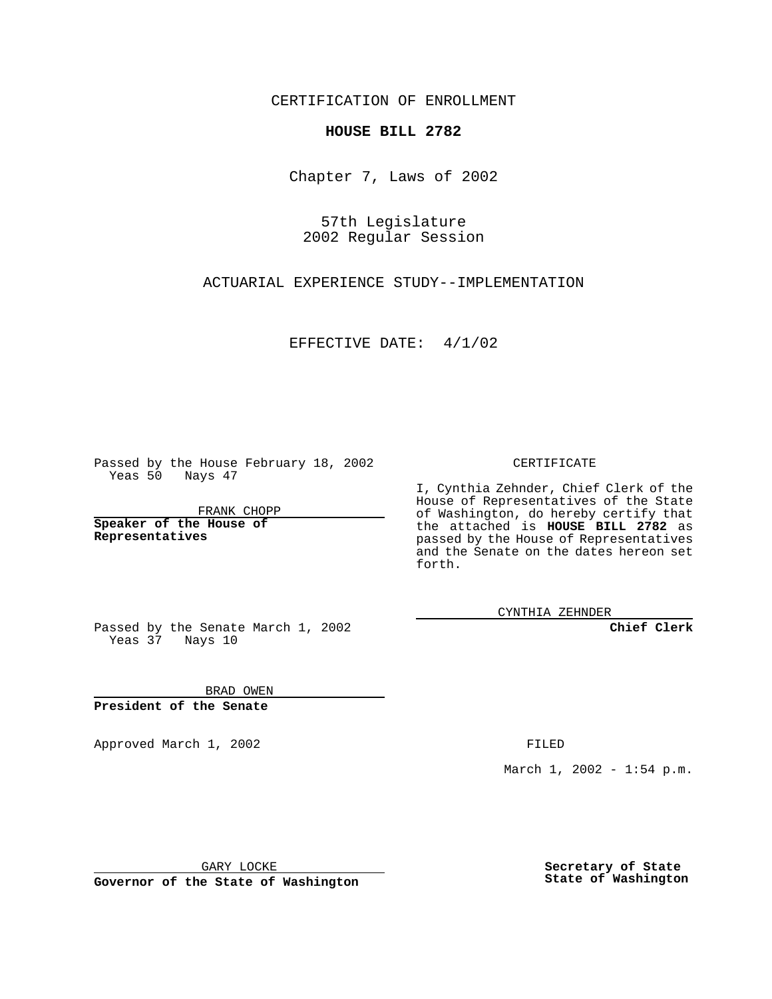CERTIFICATION OF ENROLLMENT

## **HOUSE BILL 2782**

Chapter 7, Laws of 2002

57th Legislature 2002 Regular Session

ACTUARIAL EXPERIENCE STUDY--IMPLEMENTATION

EFFECTIVE DATE: 4/1/02

Passed by the House February 18, 2002 Yeas 50 Nays 47

FRANK CHOPP

**Speaker of the House of Representatives**

CERTIFICATE

I, Cynthia Zehnder, Chief Clerk of the House of Representatives of the State of Washington, do hereby certify that the attached is **HOUSE BILL 2782** as passed by the House of Representatives and the Senate on the dates hereon set forth.

CYNTHIA ZEHNDER

**Chief Clerk**

Passed by the Senate March 1, 2002 Yeas 37 Nays 10

BRAD OWEN **President of the Senate**

Approved March 1, 2002 **FILED** 

March 1, 2002 - 1:54 p.m.

GARY LOCKE

**Governor of the State of Washington**

**Secretary of State State of Washington**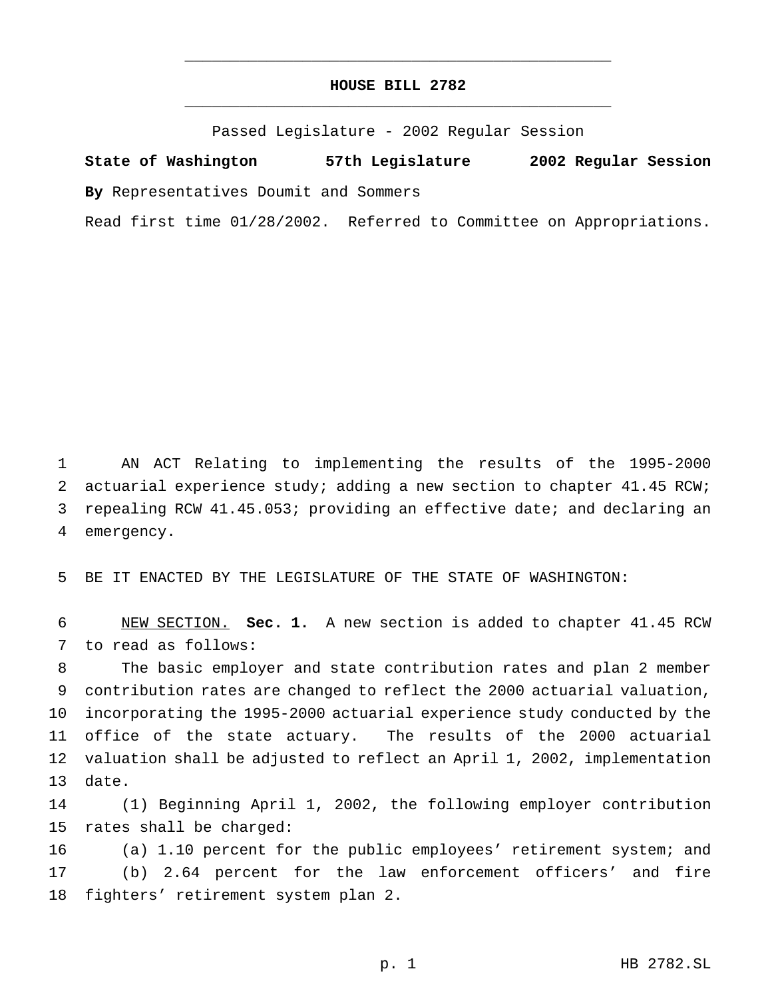## **HOUSE BILL 2782** \_\_\_\_\_\_\_\_\_\_\_\_\_\_\_\_\_\_\_\_\_\_\_\_\_\_\_\_\_\_\_\_\_\_\_\_\_\_\_\_\_\_\_\_\_\_\_

\_\_\_\_\_\_\_\_\_\_\_\_\_\_\_\_\_\_\_\_\_\_\_\_\_\_\_\_\_\_\_\_\_\_\_\_\_\_\_\_\_\_\_\_\_\_\_

Passed Legislature - 2002 Regular Session

**State of Washington 57th Legislature 2002 Regular Session**

**By** Representatives Doumit and Sommers

Read first time 01/28/2002. Referred to Committee on Appropriations.

 AN ACT Relating to implementing the results of the 1995-2000 2 actuarial experience study; adding a new section to chapter 41.45 RCW; repealing RCW 41.45.053; providing an effective date; and declaring an emergency.

BE IT ENACTED BY THE LEGISLATURE OF THE STATE OF WASHINGTON:

 NEW SECTION. **Sec. 1.** A new section is added to chapter 41.45 RCW to read as follows:

 The basic employer and state contribution rates and plan 2 member contribution rates are changed to reflect the 2000 actuarial valuation, incorporating the 1995-2000 actuarial experience study conducted by the office of the state actuary. The results of the 2000 actuarial valuation shall be adjusted to reflect an April 1, 2002, implementation date.

 (1) Beginning April 1, 2002, the following employer contribution rates shall be charged:

 (a) 1.10 percent for the public employees' retirement system; and (b) 2.64 percent for the law enforcement officers' and fire fighters' retirement system plan 2.